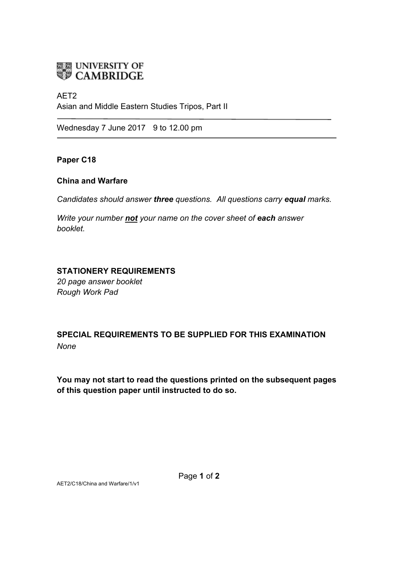# **ELE UNIVERSITY OF**<br>**WE CAMBRIDGE**

## AET2

Asian and Middle Eastern Studies Tripos, Part II

Wednesday 7 June 2017 9 to 12.00 pm

**Paper C18**

#### **China and Warfare**

*Candidates should answer three questions. All questions carry equal marks.*

*Write your number not your name on the cover sheet of each answer booklet.* 

#### **STATIONERY REQUIREMENTS**

*20 page answer booklet Rough Work Pad*

# **SPECIAL REQUIREMENTS TO BE SUPPLIED FOR THIS EXAMINATION** *None*

**You may not start to read the questions printed on the subsequent pages of this question paper until instructed to do so.**

AET2/C18/China and Warfare/1/v1

Page **1** of **2**